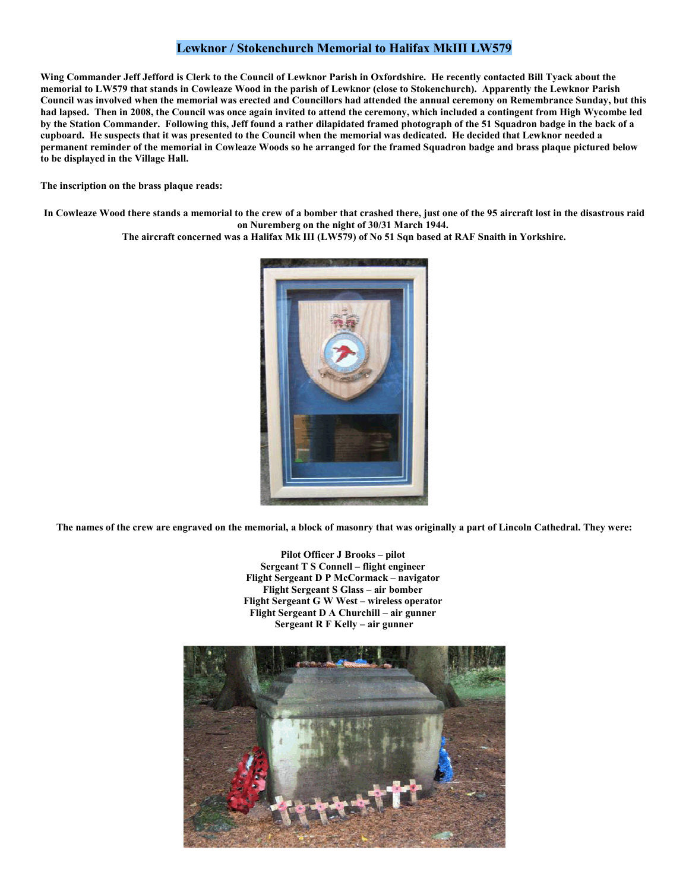## **Lewknor / Stokenchurch Memorial to Halifax MkIII LW579**

**Wing Commander Jeff Jefford is Clerk to the Council of Lewknor Parish in Oxfordshire. He recently contacted Bill Tyack about the memorial to LW579 that stands in Cowleaze Wood in the parish of Lewknor (close to Stokenchurch). Apparently the Lewknor Parish Council was involved when the memorial was erected and Councillors had attended the annual ceremony on Remembrance Sunday, but this had lapsed. Then in 2008, the Council was once again invited to attend the ceremony, which included a contingent from High Wycombe led by the Station Commander. Following this, Jeff found a rather dilapidated framed photograph of the 51 Squadron badge in the back of a cupboard. He suspects that it was presented to the Council when the memorial was dedicated. He decided that Lewknor needed a permanent reminder of the memorial in Cowleaze Woods so he arranged for the framed Squadron badge and brass plaque pictured below to be displayed in the Village Hall.** 

**The inscription on the brass plaque reads:** 

**In Cowleaze Wood there stands a memorial to the crew of a bomber that crashed there, just one of the 95 aircraft lost in the disastrous raid on Nuremberg on the night of 30/31 March 1944.** 

**The aircraft concerned was a Halifax Mk III (LW579) of No 51 Sqn based at RAF Snaith in Yorkshire.** 



**The names of the crew are engraved on the memorial, a block of masonry that was originally a part of Lincoln Cathedral. They were:** 

**Pilot Officer J Brooks – pilot Sergeant T S Connell – flight engineer Flight Sergeant D P McCormack – navigator Flight Sergeant S Glass – air bomber Flight Sergeant G W West – wireless operator Flight Sergeant D A Churchill – air gunner Sergeant R F Kelly – air gunner**